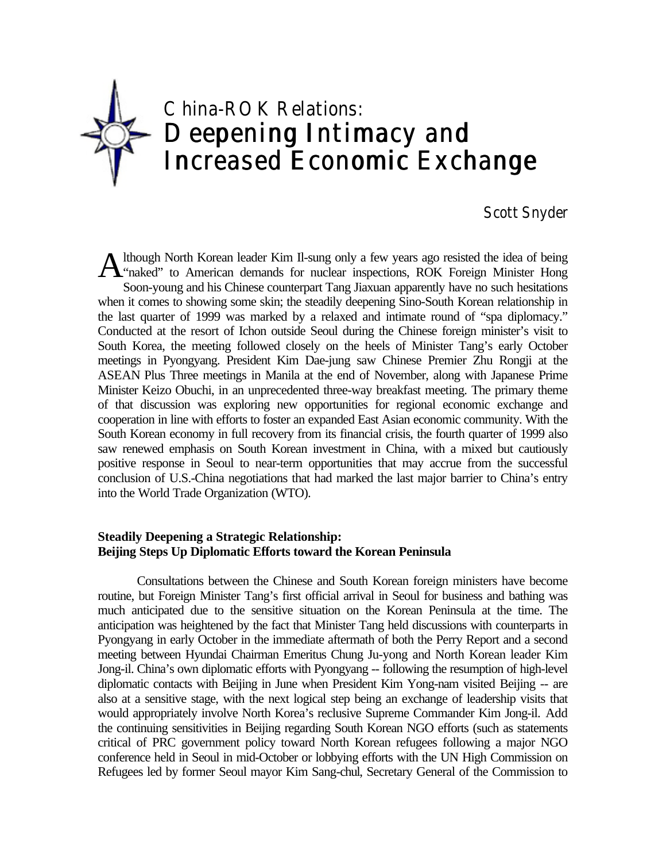

# Scott Snyder

lthough North Korean leader Kim Il-sung only a few years ago resisted the idea of being A lthough North Korean leader Kim Il-sung only a few years ago resisted the idea of being<br>
"naked" to American demands for nuclear inspections, ROK Foreign Minister Hong Soon-young and his Chinese counterpart Tang Jiaxuan apparently have no such hesitations when it comes to showing some skin; the steadily deepening Sino-South Korean relationship in the last quarter of 1999 was marked by a relaxed and intimate round of "spa diplomacy." Conducted at the resort of Ichon outside Seoul during the Chinese foreign minister's visit to South Korea, the meeting followed closely on the heels of Minister Tang's early October meetings in Pyongyang. President Kim Dae-jung saw Chinese Premier Zhu Rongji at the ASEAN Plus Three meetings in Manila at the end of November, along with Japanese Prime Minister Keizo Obuchi, in an unprecedented three-way breakfast meeting. The primary theme of that discussion was exploring new opportunities for regional economic exchange and cooperation in line with efforts to foster an expanded East Asian economic community. With the South Korean economy in full recovery from its financial crisis, the fourth quarter of 1999 also saw renewed emphasis on South Korean investment in China, with a mixed but cautiously positive response in Seoul to near-term opportunities that may accrue from the successful conclusion of U.S.-China negotiations that had marked the last major barrier to China's entry into the World Trade Organization (WTO).

## **Steadily Deepening a Strategic Relationship: Beijing Steps Up Diplomatic Efforts toward the Korean Peninsula**

Consultations between the Chinese and South Korean foreign ministers have become routine, but Foreign Minister Tang's first official arrival in Seoul for business and bathing was much anticipated due to the sensitive situation on the Korean Peninsula at the time. The anticipation was heightened by the fact that Minister Tang held discussions with counterparts in Pyongyang in early October in the immediate aftermath of both the Perry Report and a second meeting between Hyundai Chairman Emeritus Chung Ju-yong and North Korean leader Kim Jong-il. China's own diplomatic efforts with Pyongyang -- following the resumption of high-level diplomatic contacts with Beijing in June when President Kim Yong-nam visited Beijing -- are also at a sensitive stage, with the next logical step being an exchange of leadership visits that would appropriately involve North Korea's reclusive Supreme Commander Kim Jong-il. Add the continuing sensitivities in Beijing regarding South Korean NGO efforts (such as statements critical of PRC government policy toward North Korean refugees following a major NGO conference held in Seoul in mid-October or lobbying efforts with the UN High Commission on Refugees led by former Seoul mayor Kim Sang-chul, Secretary General of the Commission to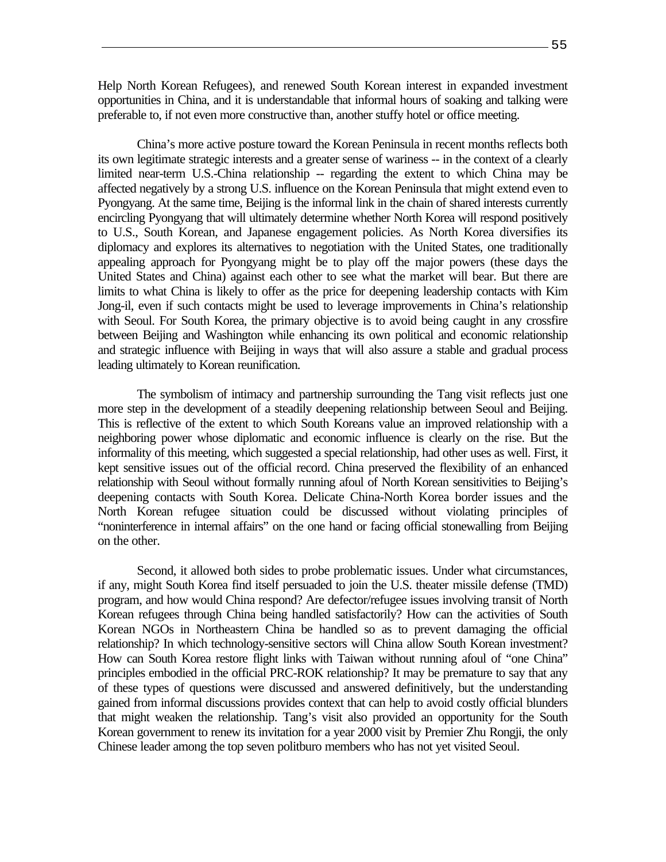Help North Korean Refugees), and renewed South Korean interest in expanded investment opportunities in China, and it is understandable that informal hours of soaking and talking were preferable to, if not even more constructive than, another stuffy hotel or office meeting.

China's more active posture toward the Korean Peninsula in recent months reflects both its own legitimate strategic interests and a greater sense of wariness -- in the context of a clearly limited near-term U.S.-China relationship -- regarding the extent to which China may be affected negatively by a strong U.S. influence on the Korean Peninsula that might extend even to Pyongyang. At the same time, Beijing is the informal link in the chain of shared interests currently encircling Pyongyang that will ultimately determine whether North Korea will respond positively to U.S., South Korean, and Japanese engagement policies. As North Korea diversifies its diplomacy and explores its alternatives to negotiation with the United States, one traditionally appealing approach for Pyongyang might be to play off the major powers (these days the United States and China) against each other to see what the market will bear. But there are limits to what China is likely to offer as the price for deepening leadership contacts with Kim Jong-il, even if such contacts might be used to leverage improvements in China's relationship with Seoul. For South Korea, the primary objective is to avoid being caught in any crossfire between Beijing and Washington while enhancing its own political and economic relationship and strategic influence with Beijing in ways that will also assure a stable and gradual process leading ultimately to Korean reunification.

The symbolism of intimacy and partnership surrounding the Tang visit reflects just one more step in the development of a steadily deepening relationship between Seoul and Beijing. This is reflective of the extent to which South Koreans value an improved relationship with a neighboring power whose diplomatic and economic influence is clearly on the rise. But the informality of this meeting, which suggested a special relationship, had other uses as well. First, it kept sensitive issues out of the official record. China preserved the flexibility of an enhanced relationship with Seoul without formally running afoul of North Korean sensitivities to Beijing's deepening contacts with South Korea. Delicate China-North Korea border issues and the North Korean refugee situation could be discussed without violating principles of "noninterference in internal affairs" on the one hand or facing official stonewalling from Beijing on the other.

Second, it allowed both sides to probe problematic issues. Under what circumstances, if any, might South Korea find itself persuaded to join the U.S. theater missile defense (TMD) program, and how would China respond? Are defector/refugee issues involving transit of North Korean refugees through China being handled satisfactorily? How can the activities of South Korean NGOs in Northeastern China be handled so as to prevent damaging the official relationship? In which technology-sensitive sectors will China allow South Korean investment? How can South Korea restore flight links with Taiwan without running afoul of "one China" principles embodied in the official PRC-ROK relationship? It may be premature to say that any of these types of questions were discussed and answered definitively, but the understanding gained from informal discussions provides context that can help to avoid costly official blunders that might weaken the relationship. Tang's visit also provided an opportunity for the South Korean government to renew its invitation for a year 2000 visit by Premier Zhu Rongji, the only Chinese leader among the top seven politburo members who has not yet visited Seoul.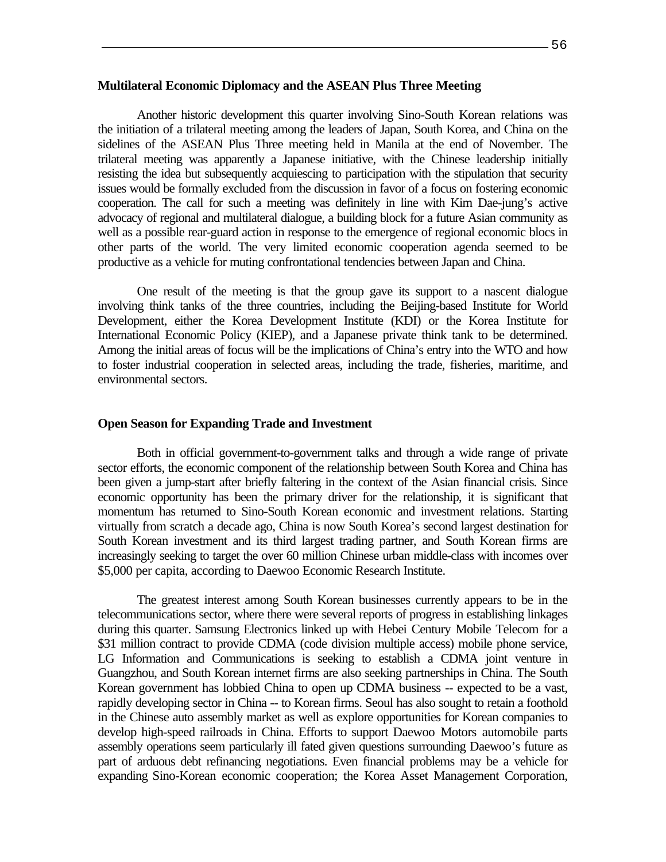## **Multilateral Economic Diplomacy and the ASEAN Plus Three Meeting**

Another historic development this quarter involving Sino-South Korean relations was the initiation of a trilateral meeting among the leaders of Japan, South Korea, and China on the sidelines of the ASEAN Plus Three meeting held in Manila at the end of November. The trilateral meeting was apparently a Japanese initiative, with the Chinese leadership initially resisting the idea but subsequently acquiescing to participation with the stipulation that security issues would be formally excluded from the discussion in favor of a focus on fostering economic cooperation. The call for such a meeting was definitely in line with Kim Dae-jung's active advocacy of regional and multilateral dialogue, a building block for a future Asian community as well as a possible rear-guard action in response to the emergence of regional economic blocs in other parts of the world. The very limited economic cooperation agenda seemed to be productive as a vehicle for muting confrontational tendencies between Japan and China.

One result of the meeting is that the group gave its support to a nascent dialogue involving think tanks of the three countries, including the Beijing-based Institute for World Development, either the Korea Development Institute (KDI) or the Korea Institute for International Economic Policy (KIEP), and a Japanese private think tank to be determined. Among the initial areas of focus will be the implications of China's entry into the WTO and how to foster industrial cooperation in selected areas, including the trade, fisheries, maritime, and environmental sectors.

#### **Open Season for Expanding Trade and Investment**

Both in official government-to-government talks and through a wide range of private sector efforts, the economic component of the relationship between South Korea and China has been given a jump-start after briefly faltering in the context of the Asian financial crisis. Since economic opportunity has been the primary driver for the relationship, it is significant that momentum has returned to Sino-South Korean economic and investment relations. Starting virtually from scratch a decade ago, China is now South Korea's second largest destination for South Korean investment and its third largest trading partner, and South Korean firms are increasingly seeking to target the over 60 million Chinese urban middle-class with incomes over \$5,000 per capita, according to Daewoo Economic Research Institute.

The greatest interest among South Korean businesses currently appears to be in the telecommunications sector, where there were several reports of progress in establishing linkages during this quarter. Samsung Electronics linked up with Hebei Century Mobile Telecom for a \$31 million contract to provide CDMA (code division multiple access) mobile phone service, LG Information and Communications is seeking to establish a CDMA joint venture in Guangzhou, and South Korean internet firms are also seeking partnerships in China. The South Korean government has lobbied China to open up CDMA business -- expected to be a vast, rapidly developing sector in China -- to Korean firms. Seoul has also sought to retain a foothold in the Chinese auto assembly market as well as explore opportunities for Korean companies to develop high-speed railroads in China. Efforts to support Daewoo Motors automobile parts assembly operations seem particularly ill fated given questions surrounding Daewoo's future as part of arduous debt refinancing negotiations. Even financial problems may be a vehicle for expanding Sino-Korean economic cooperation; the Korea Asset Management Corporation,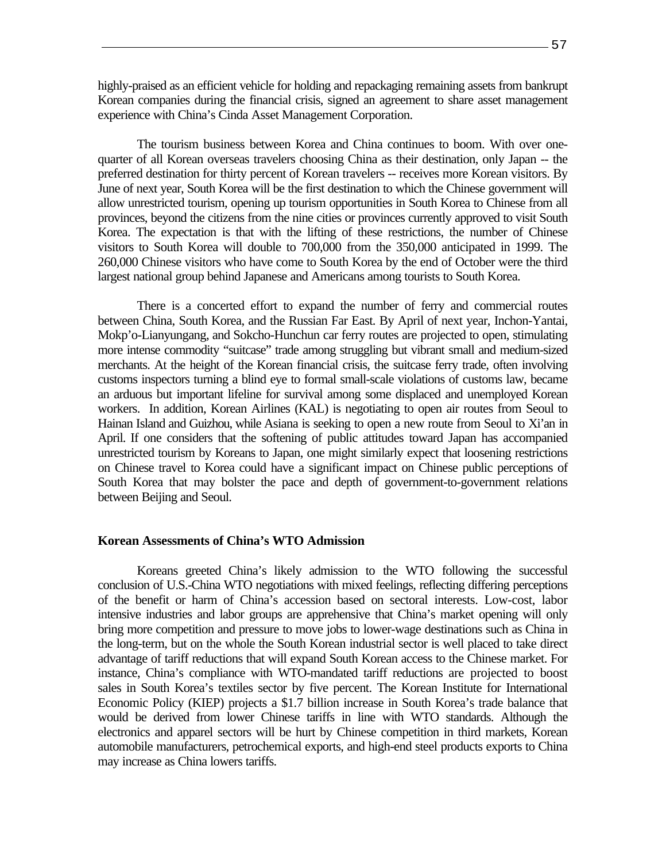highly-praised as an efficient vehicle for holding and repackaging remaining assets from bankrupt Korean companies during the financial crisis, signed an agreement to share asset management experience with China's Cinda Asset Management Corporation.

The tourism business between Korea and China continues to boom. With over onequarter of all Korean overseas travelers choosing China as their destination, only Japan -- the preferred destination for thirty percent of Korean travelers -- receives more Korean visitors. By June of next year, South Korea will be the first destination to which the Chinese government will allow unrestricted tourism, opening up tourism opportunities in South Korea to Chinese from all provinces, beyond the citizens from the nine cities or provinces currently approved to visit South Korea. The expectation is that with the lifting of these restrictions, the number of Chinese visitors to South Korea will double to 700,000 from the 350,000 anticipated in 1999. The 260,000 Chinese visitors who have come to South Korea by the end of October were the third largest national group behind Japanese and Americans among tourists to South Korea.

There is a concerted effort to expand the number of ferry and commercial routes between China, South Korea, and the Russian Far East. By April of next year, Inchon-Yantai, Mokp'o-Lianyungang, and Sokcho-Hunchun car ferry routes are projected to open, stimulating more intense commodity "suitcase" trade among struggling but vibrant small and medium-sized merchants. At the height of the Korean financial crisis, the suitcase ferry trade, often involving customs inspectors turning a blind eye to formal small-scale violations of customs law, became an arduous but important lifeline for survival among some displaced and unemployed Korean workers. In addition, Korean Airlines (KAL) is negotiating to open air routes from Seoul to Hainan Island and Guizhou, while Asiana is seeking to open a new route from Seoul to Xi'an in April. If one considers that the softening of public attitudes toward Japan has accompanied unrestricted tourism by Koreans to Japan, one might similarly expect that loosening restrictions on Chinese travel to Korea could have a significant impact on Chinese public perceptions of South Korea that may bolster the pace and depth of government-to-government relations between Beijing and Seoul.

### **Korean Assessments of China's WTO Admission**

Koreans greeted China's likely admission to the WTO following the successful conclusion of U.S.-China WTO negotiations with mixed feelings, reflecting differing perceptions of the benefit or harm of China's accession based on sectoral interests. Low-cost, labor intensive industries and labor groups are apprehensive that China's market opening will only bring more competition and pressure to move jobs to lower-wage destinations such as China in the long-term, but on the whole the South Korean industrial sector is well placed to take direct advantage of tariff reductions that will expand South Korean access to the Chinese market. For instance, China's compliance with WTO-mandated tariff reductions are projected to boost sales in South Korea's textiles sector by five percent. The Korean Institute for International Economic Policy (KIEP) projects a \$1.7 billion increase in South Korea's trade balance that would be derived from lower Chinese tariffs in line with WTO standards. Although the electronics and apparel sectors will be hurt by Chinese competition in third markets, Korean automobile manufacturers, petrochemical exports, and high-end steel products exports to China may increase as China lowers tariffs.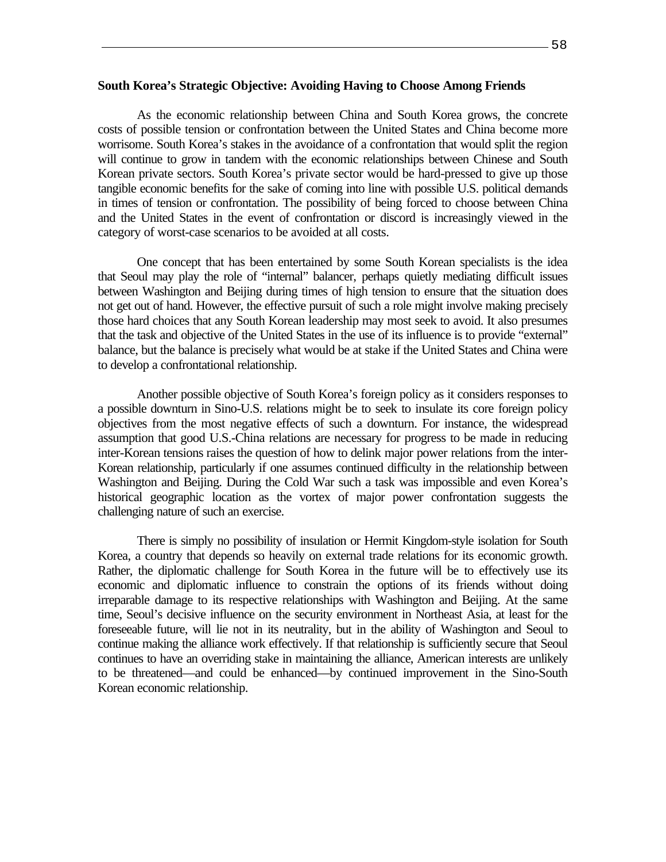### **South Korea's Strategic Objective: Avoiding Having to Choose Among Friends**

As the economic relationship between China and South Korea grows, the concrete costs of possible tension or confrontation between the United States and China become more worrisome. South Korea's stakes in the avoidance of a confrontation that would split the region will continue to grow in tandem with the economic relationships between Chinese and South Korean private sectors. South Korea's private sector would be hard-pressed to give up those tangible economic benefits for the sake of coming into line with possible U.S. political demands in times of tension or confrontation. The possibility of being forced to choose between China and the United States in the event of confrontation or discord is increasingly viewed in the category of worst-case scenarios to be avoided at all costs.

One concept that has been entertained by some South Korean specialists is the idea that Seoul may play the role of "internal" balancer, perhaps quietly mediating difficult issues between Washington and Beijing during times of high tension to ensure that the situation does not get out of hand. However, the effective pursuit of such a role might involve making precisely those hard choices that any South Korean leadership may most seek to avoid. It also presumes that the task and objective of the United States in the use of its influence is to provide "external" balance, but the balance is precisely what would be at stake if the United States and China were to develop a confrontational relationship.

Another possible objective of South Korea's foreign policy as it considers responses to a possible downturn in Sino-U.S. relations might be to seek to insulate its core foreign policy objectives from the most negative effects of such a downturn. For instance, the widespread assumption that good U.S.-China relations are necessary for progress to be made in reducing inter-Korean tensions raises the question of how to delink major power relations from the inter-Korean relationship, particularly if one assumes continued difficulty in the relationship between Washington and Beijing. During the Cold War such a task was impossible and even Korea's historical geographic location as the vortex of major power confrontation suggests the challenging nature of such an exercise.

There is simply no possibility of insulation or Hermit Kingdom-style isolation for South Korea, a country that depends so heavily on external trade relations for its economic growth. Rather, the diplomatic challenge for South Korea in the future will be to effectively use its economic and diplomatic influence to constrain the options of its friends without doing irreparable damage to its respective relationships with Washington and Beijing. At the same time, Seoul's decisive influence on the security environment in Northeast Asia, at least for the foreseeable future, will lie not in its neutrality, but in the ability of Washington and Seoul to continue making the alliance work effectively. If that relationship is sufficiently secure that Seoul continues to have an overriding stake in maintaining the alliance, American interests are unlikely to be threatened—and could be enhanced—by continued improvement in the Sino-South Korean economic relationship.